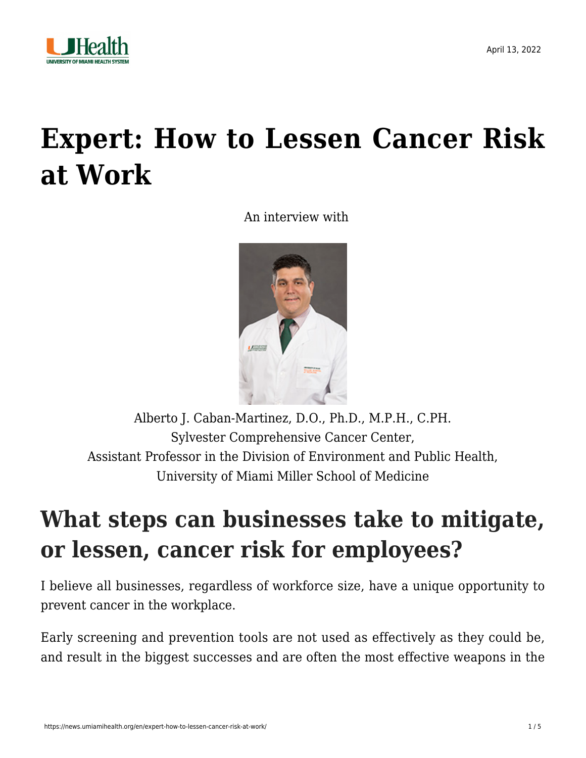

# **[Expert: How to Lessen Cancer Risk](https://news.umiamihealth.org/en/expert-how-to-lessen-cancer-risk-at-work/) [at Work](https://news.umiamihealth.org/en/expert-how-to-lessen-cancer-risk-at-work/)**

An interview with



[Alberto J. Caban-Martinez, D.O., Ph.D., M.P.H., C.PH.](https://www.cabanmartinezlab.com/) Sylvester Comprehensive Cancer Center, Assistant Professor in the Division of Environment and Public Health, University of Miami Miller School of Medicine

#### **What steps can businesses take to mitigate, or lessen, cancer risk for employees?**

I believe all businesses, regardless of workforce size, have a unique opportunity to prevent cancer in the workplace.

Early screening and prevention tools are not used as effectively as they could be, and result in the biggest successes and are often the most effective weapons in the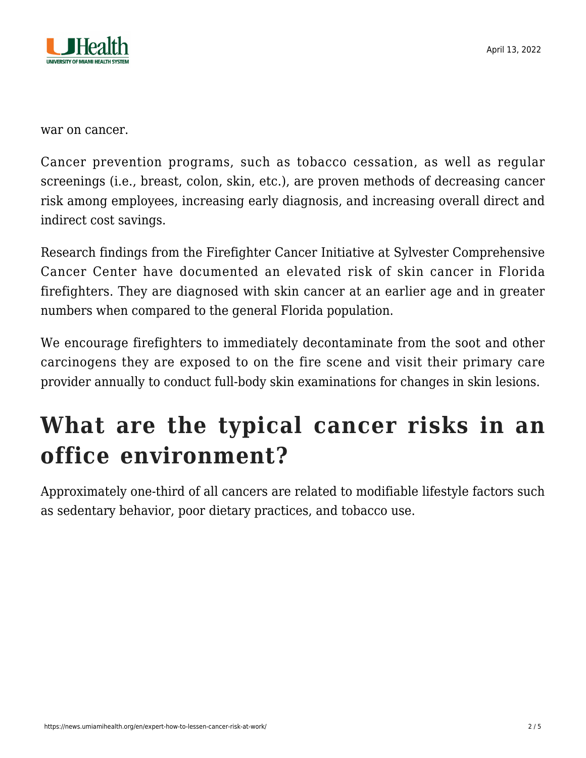

war on cancer.

Cancer prevention programs, such as tobacco cessation, as well as regular screenings (i.e., breast, colon, skin, etc.), are proven methods of decreasing cancer risk among employees, increasing early diagnosis, and increasing overall direct and indirect cost savings.

Research findings from the Firefighter Cancer Initiative at Sylvester Comprehensive Cancer Center have documented an elevated risk of skin cancer in Florida firefighters. They are diagnosed with skin cancer at an earlier age and in greater numbers when compared to the general Florida population.

We encourage firefighters to immediately decontaminate from the soot and other carcinogens they are exposed to on the fire scene and visit their primary care provider annually to conduct full-body skin examinations for changes in skin lesions.

### **What are the typical cancer risks in an office environment?**

Approximately one-third of all cancers are related to modifiable lifestyle factors such as sedentary behavior, poor dietary practices, and tobacco use.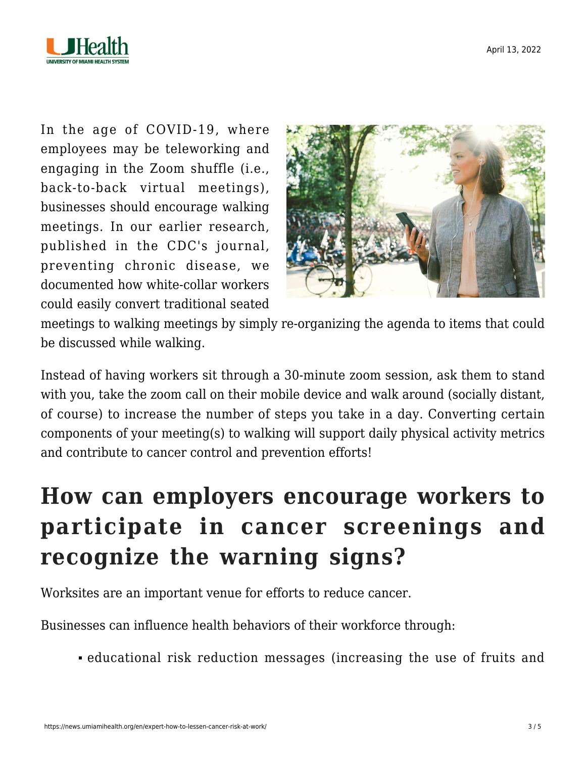

In the age of COVID-19, where employees may be teleworking and engaging in the Zoom shuffle (i.e., back-to-back virtual meetings), businesses should encourage [walking](https://www.cdc.gov/pcd/issues/2016/pdf/16_0111.pdf) [meetings](https://www.cdc.gov/pcd/issues/2016/pdf/16_0111.pdf). In our earlier research, published in the CDC's journal, preventing chronic disease, we documented how white-collar workers could easily convert traditional seated



meetings to walking meetings by simply re-organizing the agenda to items that could be discussed while walking.

Instead of having workers sit through a 30-minute zoom session, ask them to stand with you, take the zoom call on their mobile device and walk around (socially distant, of course) to increase the number of steps you take in a day. Converting certain components of your meeting(s) to walking will support daily physical activity metrics and contribute to cancer control and prevention efforts!

## **How can employers encourage workers to participate in cancer screenings and recognize the warning signs?**

Worksites are an important venue for efforts to reduce cancer.

Businesses can influence health behaviors of their workforce through:

educational risk reduction messages (increasing the use of fruits and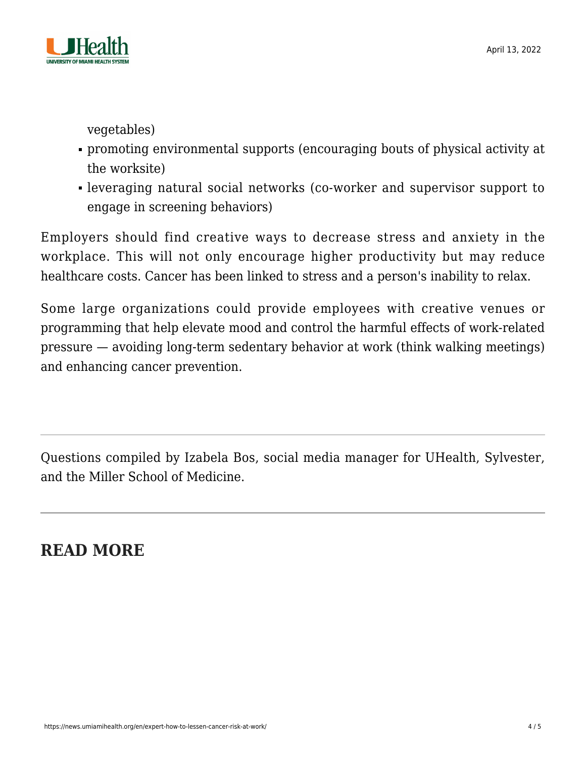

vegetables)

- promoting environmental supports (encouraging bouts of physical activity at the worksite)
- leveraging natural social networks (co-worker and supervisor support to engage in screening behaviors)

Employers should find creative ways to decrease stress and anxiety in the workplace. This will not only encourage higher productivity but may reduce healthcare costs. Cancer has been linked to stress and a person's inability to relax.

Some large organizations could provide employees with creative venues or programming that help elevate mood and control the harmful effects of work-related pressure — avoiding long-term sedentary behavior at work (think [walking meetings\)](https://www.cdc.gov/pcd/issues/2016/pdf/16_0111.pdf) and enhancing cancer prevention.

Questions compiled by Izabela Bos, social media manager for UHealth, Sylvester, and the Miller School of Medicine.

**READ MORE**